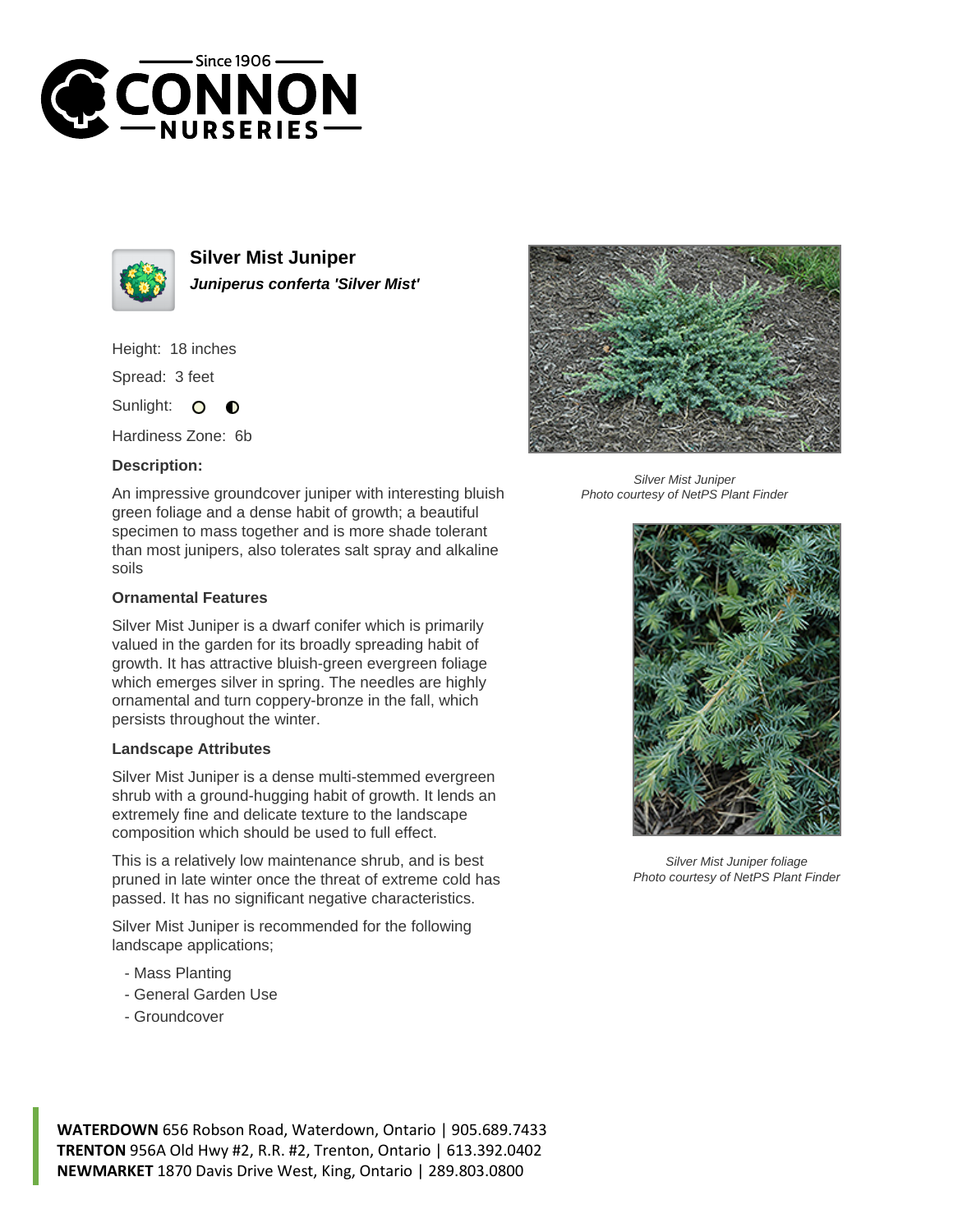



**Silver Mist Juniper Juniperus conferta 'Silver Mist'**

Height: 18 inches

Spread: 3 feet

Sunlight:  $\circ$  $\bullet$ 

Hardiness Zone: 6b

## **Description:**

An impressive groundcover juniper with interesting bluish green foliage and a dense habit of growth; a beautiful specimen to mass together and is more shade tolerant than most junipers, also tolerates salt spray and alkaline soils

## **Ornamental Features**

Silver Mist Juniper is a dwarf conifer which is primarily valued in the garden for its broadly spreading habit of growth. It has attractive bluish-green evergreen foliage which emerges silver in spring. The needles are highly ornamental and turn coppery-bronze in the fall, which persists throughout the winter.

## **Landscape Attributes**

Silver Mist Juniper is a dense multi-stemmed evergreen shrub with a ground-hugging habit of growth. It lends an extremely fine and delicate texture to the landscape composition which should be used to full effect.

This is a relatively low maintenance shrub, and is best pruned in late winter once the threat of extreme cold has passed. It has no significant negative characteristics.

Silver Mist Juniper is recommended for the following landscape applications;

- Mass Planting
- General Garden Use
- Groundcover



Silver Mist Juniper Photo courtesy of NetPS Plant Finder



Silver Mist Juniper foliage Photo courtesy of NetPS Plant Finder

**WATERDOWN** 656 Robson Road, Waterdown, Ontario | 905.689.7433 **TRENTON** 956A Old Hwy #2, R.R. #2, Trenton, Ontario | 613.392.0402 **NEWMARKET** 1870 Davis Drive West, King, Ontario | 289.803.0800